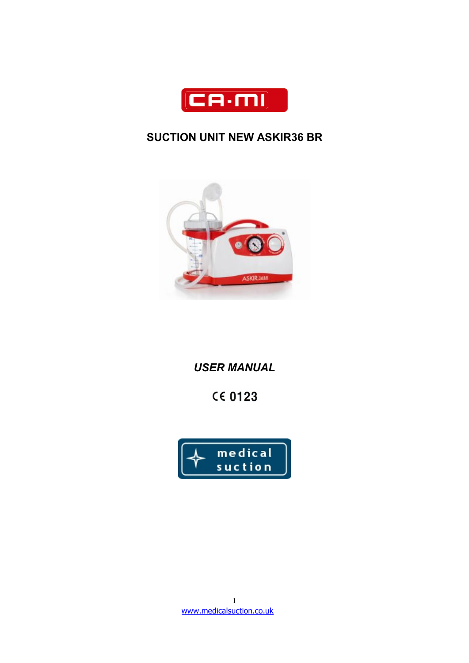

# **SUCTION UNIT NEW ASKIR36 BR**



# *USER MANUAL*

# **CE 0123**

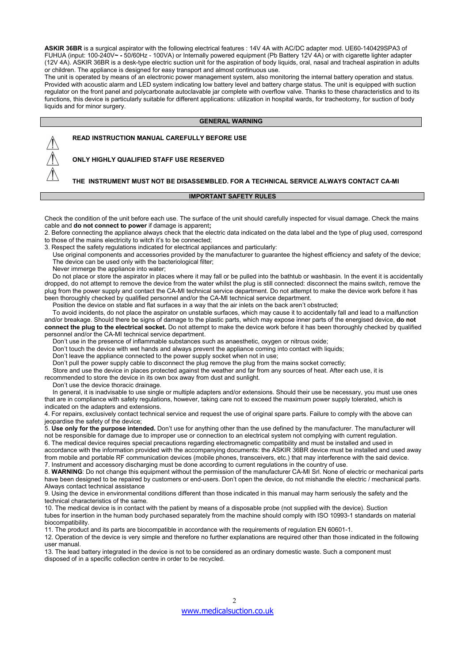ASKIR 36BR is a surgical aspirator with the following electrical features : 14V 4A with AC/DC adapter mod. UE60-140429SPA3 of FUHUA (input: 100-240V**~ -** 50/60Hz - 100VA) or Internally powered equipment (Pb Battery 12V 4A) or with cigarette lighter adapter (12V 4A). ASKIR 36BR is a desk-type electric suction unit for the aspiration of body liquids, oral, nasal and tracheal aspiration in adults or children. The appliance is designed for easy transport and almost continuous use.

The unit is operated by means of an electronic power management system, also monitoring the internal battery operation and status. Provided with acoustic alarm and LED system indicating low battery level and battery charge status. The unit is equipped with suction regulator on the front panel and polycarbonate autoclavable jar complete with overflow valve. Thanks to these characteristics and to its functions, this device is particularly suitable for different applications: utilization in hospital wards, for tracheotomy, for suction of body liquids and for minor surgery.

#### **GENERAL WARNING**

**READ INSTRUCTION MANUAL CAREFULLY BEFORE USE**

**ONLY HIGHLY QUALIFIED STAFF USE RESERVED**

# **THE INSTRUMENT MUST NOT BE DISASSEMBLED. FOR A TECHNICAL SERVICE ALWAYS CONTACT CA-MI**

#### **IMPORTANT SAFETY RULES**

Check the condition ofthe unit before each use. The surface of the unit should carefully inspected for visual damage. Check the mains cable and **do not connect to power** if damage is apparent**;**

2. Before connecting the appliance always check that the electric data indicated on the data labeland the type of plug used, correspond to those of the mains electricity to witch it's to be connected;

3. Respect the safety regulations indicated for electrical appliances and particularly:

Use original components and accessories provided by the manufacturer to guarantee the highest efficiency and safety of the device; The device can be used only with the bacteriological filter;

Never immerge the appliance into water;

Do not place or store the aspirator in places where it may fall or be pulled into the bathtub or washbasin. In the event it is accidentally dropped, do not attempt to remove the device from the water whilst the plug is still connected: disconnect the mains switch, remove the plug from the power supply and contact the CA-MI technical service department. Do not attempt to make the device work before it has been thoroughly checked by qualified personnel and/or the CA-MI technical service department.

Position the device on stable and flat surfaces in a way that the air inlets on the back aren't obstructed;

To avoid incidents, do not place the aspirator on unstable surfaces, which may cause it to accidentally fall and lead to a malfunction and/or breakage. Should there be signs of damage to the plastic parts, which may expose inner parts of the energised device, **do not connect the plug to the electricalsocket.** Do not attempt to make the device work before it has been thoroughly checked by qualified personnel and/or the CA-MI technical service department.

Don't use in the presence of inflammable substances such as anaesthetic, oxygen or nitrous oxide;

Don't touch the device with wet hands and always prevent the appliance coming into contact with liquids;

Don't leave the appliance connected to the power supply socket when not in use;

Don't pull the power supply cable to disconnect the plug remove the plug from the mains socket correctly;

Store and use the device in places protected against the weather and far from any sources of heat. After each use, it is

recommended to store the device in its own box away from dust and sunlight.

Don't use the device thoracic drainage.

In general, it is inadvisable to use single or multiple adapters and/or extensions. Should their use be necessary, you must use ones that are in compliance with safety regulations, however, taking care not to exceed the maximum power supply tolerated, which is indicated on the adapters and extensions.

4. For repairs, exclusively contact technical service and request the use of original spare parts. Failure to comply with the above can jeopardise the safety of the device;

5. **Use only for the purpose intended.** Don't use for anything other than the use defined by the manufacturer. The manufacturer will not be responsible for damage due to improperuse or connection to an electrical system not complying with current regulation.

6. The medical device requires special precautions regarding electromagnetic compatibility and must be installed and used in accordance with the information provided with the accompanying documents: the ASKIR 36BR devicemust be installed and used away from mobile and portable RF communication devices (mobile phones, transceivers, etc.) that may interference with the said device. 7. Instrument and accessory discharging must be done according to current regulations in the country of use.

8. **WARNING**: Do not change this equipment without the permission of the manufacturer CA-MI Srl. None of electric or mechanical parts have been designed to be repaired by customers or end-users. Don't open the device, do not mishandle the electric / mechanical parts. Always contact technical assistance

9. Using the device in environmental conditions different than those indicated in this manualmay harm seriously the safety and the technical characteristics of the same.

10. The medical device is in contact with the patient by means of a disposable probe (not supplied with the device). Suction tubes for insertion in the human body purchased separately from the machine should comply with ISO 10993-1 standards on material biocompatibility.

11. The product and its parts are biocompatible in accordance with the requirements of regulation EN 60601-1.

12. Operation of the device is very simple and therefore no further explanations are required other than those indicated in the following user manual.

13. The lead battery integrated in the device is not to be considered as an ordinary domestic waste. Such a component must disposed of in a specific collection centre in order to be recycled.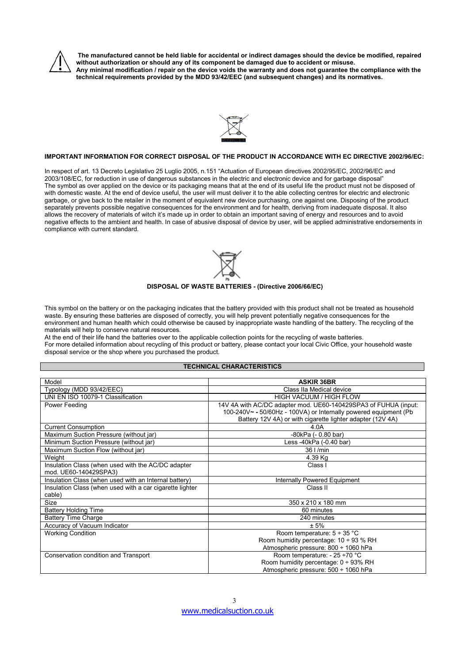

The manufactured cannot be held liable for accidental or indirect damages should the device be modified, repaired **without authorization or should any of its component be damaged due to accident or misuse.** Any minimal modification / repair on the device voids the warranty and does not guarantee the compliance with the **technical requirements provided by the MDD 93/42/EEC (and subsequent changes) and its normatives.**



#### **IMPORTANT INFORMATION FOR CORRECT DISPOSAL OF THE PRODUCT IN ACCORDANCE WITH EC DIRECTIVE 2002/96/EC:**

In respect of art. 13 Decreto Legislativo 25 Luglio 2005, n.151 "Actuation of European directives 2002/95/EC, 2002/96/EC and 2003/108/EC, for reduction in use of dangerous substances in the electric and electronic device and for garbage disposal"<br>The symbol as over applied on the device or its packaging means that at the end of its useful life t with domestic waste. At the end of device useful, the user will must deliver it to the able collecting centres for electric and electronic garbage, or give back to the retailer in the moment of equivalent new device purchasing, one against one. Disposing of the product separately prevents possible negative consequences for the environment and for health, deriving from inadequate disposal. It also allows the recovery of materials of witch it's made up in order to obtain an important saving of energy and resources and to avoid negative effects to the ambient and health. In case of abusive disposal of device by user, will be applied administrative endorsements in compliance with current standard.



#### **DISPOSAL OF WASTE BATTERIES - (Directive 2006/66/EC)**

This symbol on the battery or on the packaging indicates that the battery provided with this product shall not be treated as household waste. By ensuring these batteries are disposed of correctly, you will help prevent potentially negative consequences for the environment and human health which could otherwise be caused by inappropriate waste handling of the battery. The recycling ofthe materials will help to conserve natural resources.

At the end of their life hand the batteries over to the applicable collection points for the recycling ofwaste batteries. For more detailed information about recycling of this product or battery, please contact your local Civic Office, your household waste disposal service or the shop where you purchased the product.

# **TECHNICAL CHARACTERISTICS**

| Model                                                                       | <b>ASKIR 36BR</b>                                                |
|-----------------------------------------------------------------------------|------------------------------------------------------------------|
| Typology (MDD 93/42/EEC)                                                    | Class IIa Medical device                                         |
| UNI EN ISO 10079-1 Classification                                           | <b>HIGH VACUUM / HIGH FLOW</b>                                   |
| Power Feeding                                                               | 14V 4A with AC/DC adapter mod. UE60-140429SPA3 of FUHUA (input:  |
|                                                                             | 100-240V~ - 50/60Hz - 100VA) or Internally powered equipment (Pb |
|                                                                             | Battery 12V 4A) or with cigarette lighter adapter (12V 4A)       |
| <b>Current Consumption</b>                                                  | 4.0A                                                             |
| Maximum Suction Pressure (without jar)                                      | $-80kPa (-0.80 bar)$                                             |
| Minimum Suction Pressure (without jar)                                      | Less -40kPa (-0.40 bar)                                          |
| Maximum Suction Flow (without jar)                                          | $36$   /min                                                      |
| Weight                                                                      | 4.39 Kg                                                          |
| Insulation Class (when used with the AC/DC adapter<br>mod. UE60-140429SPA3) | Class I                                                          |
| Insulation Class (when used with an Internal battery)                       | Internally Powered Equipment                                     |
| Insulation Class (when used with a car cigarette lighter                    | Class II                                                         |
| cable)                                                                      |                                                                  |
| <b>Size</b>                                                                 | 350 x 210 x 180 mm                                               |
| <b>Battery Holding Time</b>                                                 | 60 minutes                                                       |
| <b>Battery Time Charge</b>                                                  | 240 minutes                                                      |
| Accuracy of Vacuum Indicator                                                | ± 5%                                                             |
| <b>Working Condition</b>                                                    | Room temperature: $5 \div 35$ °C                                 |
|                                                                             | Room humidity percentage: $10 \div 93$ % RH                      |
|                                                                             | Atmospheric pressure: 800 ÷ 1060 hPa                             |
| Conservation condition and Transport                                        | Room temperature: - 25 ÷70 °C                                    |
|                                                                             | Room humidity percentage: 0 ÷ 93% RH                             |
|                                                                             | Atmospheric pressure: 500 ÷ 1060 hPa                             |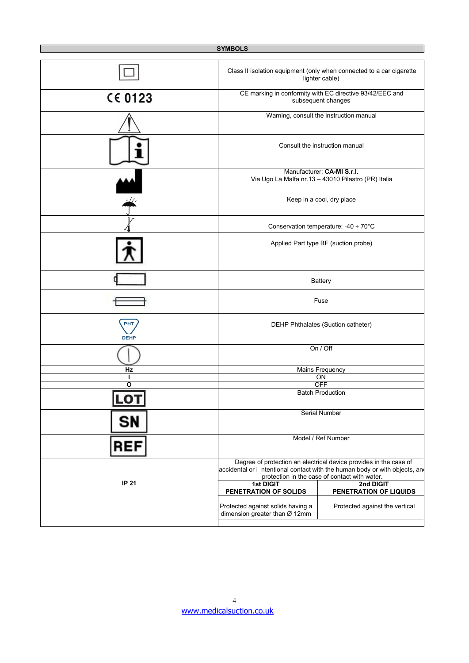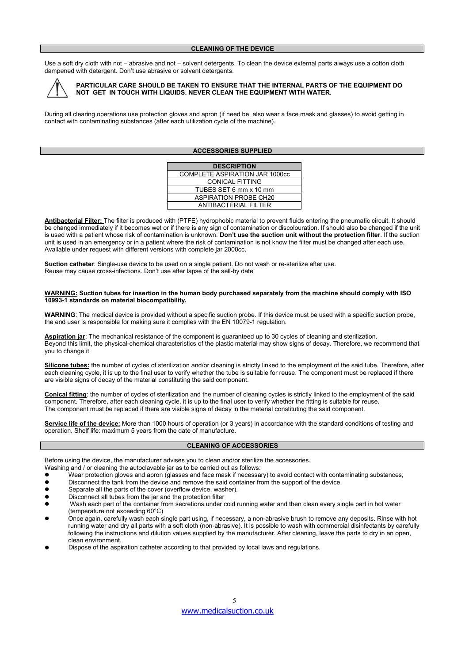Use a soft dry cloth with not – abrasive and not – solvent detergents. To clean the device external parts always use a cotton cloth dampened with detergent. Don't use abrasive or solvent detergents.



# **PARTICULAR CARE SHOULD BE TAKEN TO ENSURE THAT THE INTERNAL PARTS OF THE EQUIPMENT DO NOT GET IN TOUCH WITH LIQUIDS. NEVER CLEAN THE EQUIPMENT WITH WATER.**

During all clearing operations use protection gloves and apron (if need be, also wear a face mask and glasses) to avoid getting in contact with contaminating substances (after each utilization cycle of the machine).

#### **ACCESSORIES SUPPLIED**

| <b>DESCRIPTION</b>             |
|--------------------------------|
| COMPLETE ASPIRATION JAR 1000cc |
| CONICAL FITTING                |
| TUBES SET 6 mm x 10 mm         |
| <b>ASPIRATION PROBE CH20</b>   |
| ANTIBACTERIAL FILTER           |

**Antibacterial Filter:** The filter is produced with (PTFE) hydrophobic material to prevent fluids entering the pneumatic circuit. It should be changed immediately if it becomes wet or if there is any sign of contamination or discolouration. If should also be changed if the unit is used with a patient whose risk of contamination isunknown. **Don't use the suction unit without the protection filter**. If the suction unit is used in an emergency or in a patient where the risk of contamination is not know the filter must be changed after each use. Available under request with different versions with complete jar 2000cc.

**Suction catheter**: Single-use device to be used on a single patient. Do not wash or re-sterilize after use. Reuse may cause cross-infections. Don't use after lapse of the sell-by date

#### WARNING: Suction tubes for insertion in the human body purchased separately from the machine should comply with ISO **10993-1 standards on material biocompatibility.**

**WARNING**: The medical device is provided without a specific suction probe. If this device must be used with a specific suction probe, the end user is responsible for making sure it complies with the EN 10079-1 regulation.

**Aspiration jar**: The mechanical resistance of the component is guaranteed up to 30 cycles of cleaning and sterilization. Beyond this limit, the physical-chemical characteristics of the plastic material may show signs of decay.Therefore, we recommend that you to change it.

**Silicone tubes:** the number of cycles of sterilization and/or cleaning is strictly linked to the employment of the said tube. Therefore, after each cleaning cycle, it is up to the final user to verify whether the tube issuitable for reuse. The component must be replaced if there are visible signs of decay of the material constituting the said component.

**Conical fitting**: the number of cycles of sterilization and the number of cleaning cycles is strictly linked to the employment of the said component. Therefore, after each cleaning cycle, it is up to the final userto verify whether the fitting is suitable for reuse. The component must be replaced if there are visible signs of decay in the material constituting the said component.

**Service life of the device:** More than 1000 hours of operation (or 3 years) in accordance with the standard conditions of testing and operation. Shelf life: maximum 5 years from the date of manufacture.

#### **CLEANING OF ACCESSORIES**

Before using the device, the manufacturer advises you to clean and/or sterilize the accessories.

- Washing and / or cleaning the autoclavable jar as to be carried out as follows:
- Wear protection gloves and apron (glasses and face mask if necessary) to avoid contact with contaminating substances;
- Disconnect the tank from the device and remove the said container from the support of the device.
- **•** Separate all the parts of the cover (overflow device, washer).
- Disconnect all tubes from the jar and the protection filter
- Wash each part of the container from secretions under cold running water and then clean every single part in hot water (temperature not exceeding 60°C)
- Once again, carefully wash each single part using, if necessary, a non-abrasive brush to remove any deposits. Rinse with hot running water and dry all parts with a soft cloth (non-abrasive). It is possible to wash with commercial disinfectants by carefully following the instructions and dilution values supplied by the manufacturer. After cleaning, leave the parts to dry in an open, clean environment.
- Dispose of the aspiration catheter according to that provided by local laws and regulations.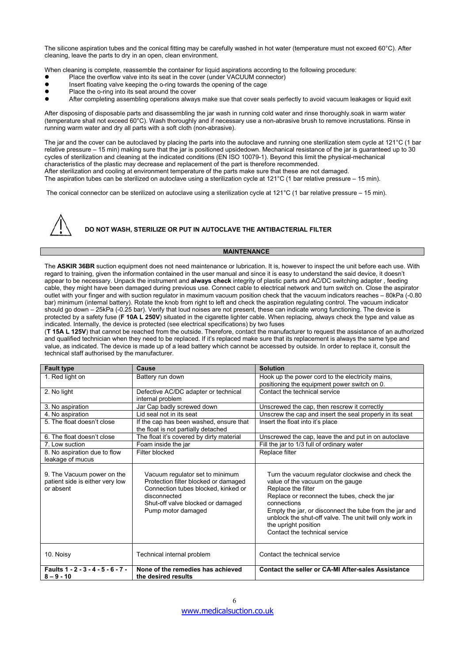The silicone aspiration tubes and the conical fitting may be carefully washed in hot water (temperature must not exceed 60°C). After cleaning, leave the parts to dry in an open, clean environment.

When cleaning is complete, reassemble the container for liquid aspirations according to the following procedure:

- Place the overflow valve into its seat in the cover (under VACUUM connector)
- Insert floating valve keeping the o-ring towards the opening of the cage
- Place the o-ring into its seat around the cover
- After completing assembling operations always make sue that cover seals perfectly to avoid vacuum leakages or liquid exit

After disposing of disposable parts and disassembling the jar wash in running cold water and rinse thoroughly.soak in warm water (temperature shall not exceed 60°C). Wash thoroughly and if necessary use a non-abrasive brush to remove incrustations. Rinse in running warm water and dry all parts with a soft cloth (non-abrasive).

The jar and the cover can be autoclaved by placing the parts into the autoclave and running one sterilization stem cycle at 121°C (1 bar relative pressure – 15 min) making sure that the jar is positioned upsidedown. Mechanical resistance of the jar is guaranteed up to 30 cycles of sterilization and cleaning at the indicated conditions (EN ISO 10079-1). Beyond this limit the physical-mechanical characteristics of the plastic may decrease and replacement of the part is therefore recommended. After sterilization and cooling at environment temperature of the parts make sure that these are not damaged. The aspiration tubes can be sterilized on autoclave using a sterilization cycle at 121°C (1 bar relative pressure – 15 min).

The conical connector can be sterilized on autoclave using a sterilization cycle at 121°C (1 bar relative pressure – 15 min).



**DO NOT WASH, STERILIZE OR PUT IN AUTOCLAVE THE ANTIBACTERIAL FILTER**

# **MAINTENANCE**

The **ASKIR 36BR** suction equipment does not need maintenance or lubrication. It is, however to inspect the unit before each use. With regard to training, given the information contained in the user manual and since it is easy to understand the said device, it doesn't appear to be necessary. Unpack the instrument and **always check** integrity of plastic parts and AC/DC switching adapter , feeding cable, they might have been damaged during previous use. Connect cable to electrical network and turn switch on. Close the aspirator outlet with your finger and with suction regulator in maximum vacuum position check that the vacuum indicators reaches - 80kPa (-0.80) bar) minimum (internal battery). Rotate the knob from right to left and check the aspiration regulating control. The vacuum indicator should go down – 25kPa (-0.25 bar). Verify that loud noises are not present, these can indicate wrong functioning. The device is protected by a safety fuse (**F 10A L 250V**) situated in the cigarette lighter cable. When replacing, always check the type and value as indicated. Internally, the device is protected (see electrical specifications) by two fuses

(**T 15A L 125V**) that cannot be reached from the outside. Therefore, contact the manufacturer to request the assistance of an authorized and qualified technician when they need to be replaced. If it's replaced make sure that its replacement is always the same type and value, as indicated. The device is made up of a lead battery which cannot be accessed by outside. In order to replace it, consult the technical staff authorised by the manufacturer.

| <b>Fault type</b>                                                          | Cause                                                                                                                                                                                     | <b>Solution</b>                                                                                                                                                                                                                                                                                                                                           |
|----------------------------------------------------------------------------|-------------------------------------------------------------------------------------------------------------------------------------------------------------------------------------------|-----------------------------------------------------------------------------------------------------------------------------------------------------------------------------------------------------------------------------------------------------------------------------------------------------------------------------------------------------------|
| 1. Red light on                                                            | Battery run down                                                                                                                                                                          | Hook up the power cord to the electricity mains,<br>positioning the equipment power switch on 0.                                                                                                                                                                                                                                                          |
| 2. No light                                                                | Defective AC/DC adapter or technical<br>internal problem                                                                                                                                  | Contact the technical service                                                                                                                                                                                                                                                                                                                             |
| 3. No aspiration                                                           | Jar Cap badly screwed down                                                                                                                                                                | Unscrewed the cap, then rescrew it correctly                                                                                                                                                                                                                                                                                                              |
| 4. No aspiration                                                           | Lid seal not in its seat                                                                                                                                                                  | Unscrew the cap and insert the seal properly in its seat                                                                                                                                                                                                                                                                                                  |
| 5. The float doesn't close                                                 | If the cap has been washed, ensure that<br>the float is not partially detached                                                                                                            | Insert the float into it's place                                                                                                                                                                                                                                                                                                                          |
| 6. The float doesn't close                                                 | The float it's covered by dirty material                                                                                                                                                  | Unscrewed the cap, leave the and put in on autoclave                                                                                                                                                                                                                                                                                                      |
| 7. Low suction                                                             | Foam inside the jar                                                                                                                                                                       | Fill the jar to 1/3 full of ordinary water                                                                                                                                                                                                                                                                                                                |
| 8. No aspiration due to flow                                               | Filter blocked                                                                                                                                                                            | Replace filter                                                                                                                                                                                                                                                                                                                                            |
| leakage of mucus                                                           |                                                                                                                                                                                           |                                                                                                                                                                                                                                                                                                                                                           |
| 9. The Vacuum power on the<br>patient side is either very low<br>or absent | Vacuum regulator set to minimum<br>Protection filter blocked or damaged<br>Connection tubes blocked, kinked or<br>disconnected<br>Shut-off valve blocked or damaged<br>Pump motor damaged | Turn the vacuum regulator clockwise and check the<br>value of the vacuum on the gauge<br>Replace the filter<br>Replace or reconnect the tubes, check the jar<br>connections<br>Empty the jar, or disconnect the tube from the jar and<br>unblock the shut-off valve. The unit twill only work in<br>the upright position<br>Contact the technical service |
| 10. Noisy                                                                  | Technical internal problem                                                                                                                                                                | Contact the technical service                                                                                                                                                                                                                                                                                                                             |
| Faults 1 - 2 - 3 - 4 - 5 - 6 - 7 -<br>$8 - 9 - 10$                         | None of the remedies has achieved<br>the desired results                                                                                                                                  | Contact the seller or CA-MI After-sales Assistance                                                                                                                                                                                                                                                                                                        |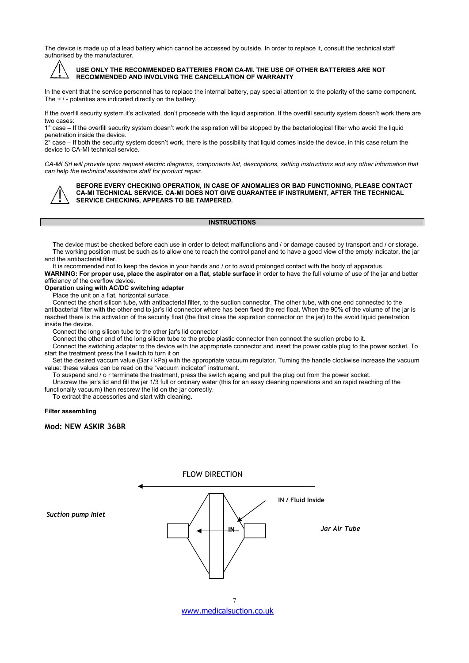The device is made up of a lead battery which cannot be accessed by outside. In order to replace it, consult the technical staff authorised by the manufacturer.



# **USE ONLY THE RECOMMENDED BATTERIES FROM CA-MI. THE USE OF OTHER BATTERIES ARE NOT RECOMMENDED AND INVOLVING THE CANCELLATION OF WARRANTY**

In the event that the service personnel has to replace the internal battery, pay special attention to the polarity of the same component. The + / - polarities are indicated directly on the battery.

If the overfill security system it's activated, don't proceede with the liquid aspiration. If the overfill security system doesn't work there are two cases:

1° case – If the overfillsecurity system doesn't work the aspiration will be stopped by the bacteriological filter who avoid the liquid penetration inside the device.

 $2^\circ$  case – If both the security system doesn't work, there is the possibility that liquid comes inside the device, in this case return the device to CA-MI technical service.

CA-MI Srl will provide upon request electric diagrams, components list, descriptions, setting instructions and any other information that *can help the technical assistance staff for product repair.*



**BEFORE EVERY CHECKING OPERATION, IN CASE OF ANOMALIES OR BAD FUNCTIONING, PLEASE CONTACT CA-MI TECHNICAL SERVICE. CA-MI DOES NOT GIVE GUARANTEE IF INSTRUMENT, AFTER THE TECHNICAL SERVICE CHECKING, APPEARS TO BE TAMPERED.**

# **INSTRUCTIONS**

The device must be checked before each use in order to detect malfunctions and / or damage caused by transport and / or storage. The working position must be such as to allow one to reach the control panel and to have a good view of the empty indicator, the jar and the antibacterial filter.

It is recommended not to keep the device in your hands and / or to avoid prolonged contact with the body of apparatus. **WARNING: For proper use, place the aspirator on a flat, stable surface** in order to have the full volume of use of the jar and better efficiency of the overflow device.

# **Operation using with AC/DC switching adapter**

Place the unit on a flat, horizontal surface.

Connect the short silicon tube**,** with antibacterial filter, to the suction connector. The other tube, with one end connected to the antibacterial filter with the other end to jar's lid connector where has been fixed the red float. When the 90% of the volume of the jaris reached there isthe activation of the security float (the float close the aspiration connector on the jar) to the avoid liquid penetration inside the device.

Connect the long silicon tube to the other jar's lid connector

Connect the other end of the long silicon tube to the probe plastic connector then connect the suction probe to it.

Connect the switching adapter to the device with the appropriate connector and insert the power cable plug to the power socket. To start the treatment press the **I** switch to turn it on

Set the desired vaccum value (Bar / kPa) with the appropriate vacuum regulator. Turning the handle clockwise increase the vacuum value: these values can be read on the "vacuum indicator" instrument.

To suspend and / o r terminate the treatment, press the switch againg and pull the plug out from the power socket.

Unscrew the jar's lid and fill the jar1/3 full or ordinary water (this for an easy cleaning operations and an rapid reaching of the functionally vacuum) then rescrew the lid on the jar correctly.

To extract the accessories and start with cleaning.

#### **Filter assembling**

**Mod: NEW ASKIR 36BR**



[www.medicalsuction.co.uk](http://www.medicalsuction.co.uk)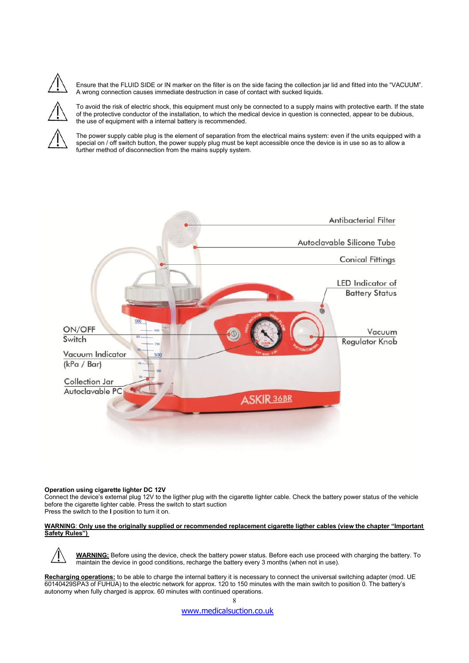Ensure that the FLUID SIDE or IN marker on the filter is on the side facing the collection jar lid and fitted into the "VACUUM". A wrong connection causes immediate destruction in case of contact with sucked liquids.

To avoid the risk of electric shock, this equipment must only be connected to a supply mains with protective earth. If the state of the protective conductor of the installation, to which the medical device in question is connected, appear to be dubious, the use of equipment with a internal battery is recommended.

The power supply cable plug is the element of separation from the electrical mains system: even if the units equipped with a special on / off switch button, the power supply plug must be kept accessible once the device is in use so as to allow a further method of disconnection from the mains supply system.



# **Operation using cigarette lighter DC 12V**

Connect the device's external plug 12V to the ligther plug with the cigarette lighter cable. Check the battery power status of the vehicle before the cigarette lighter cable. Press the switch to start suction Press the switch to the **I** position to turn it on.

#### WARNING: Only use the originally supplied or recommended replacement cigarette ligther cables (view the chapter "Important **Safety Rules")**

**WARNING:** Before using the device, check the battery power status. Before each use proceed with charging the battery. To maintain the device in good conditions, recharge the battery every 3 months (when not in use).

8

**Recharging operations:** to be able to charge the internal battery it is necessary to connect the universal switching adapter (mod. UE 60140429SPA3 of FUHUA) to the electric network for approx. 120 to 150 minutes with the main switch to position 0. The battery's autonomy when fully charged is approx. 60 minutes with continued operations.

[www.medicalsuction.co.uk](http://www.medicalsuction.co.uk)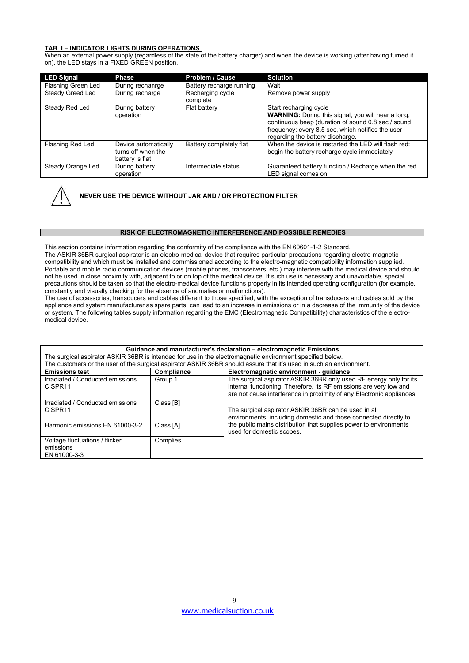# **TAB. I – INDICATOR LIGHTS DURING OPERATIONS**

When an external power supply (regardless of the state of the battery charger) and when the device is working (after having turned it on), the LED stays in a FIXED GREEN position.

| <b>LED Signal</b>  | <b>Phase</b>                                                  | <b>Problem / Cause</b>       | <b>Solution</b>                                                                                                                                                                                                                    |
|--------------------|---------------------------------------------------------------|------------------------------|------------------------------------------------------------------------------------------------------------------------------------------------------------------------------------------------------------------------------------|
| Flashing Green Led | During rechanrge                                              | Battery recharge running     | Wait                                                                                                                                                                                                                               |
| Steady Greed Led   | During recharge                                               | Recharging cycle<br>complete | Remove power supply                                                                                                                                                                                                                |
| Steady Red Led     | During battery<br>operation                                   | Flat battery                 | Start recharging cycle<br><b>WARNING:</b> During this signal, you will hear a long,<br>continuous beep (duration of sound 0.8 sec / sound<br>frequency: every 8.5 sec, which notifies the user<br>regarding the battery discharge. |
| Flashing Red Led   | Device automatically<br>turns off when the<br>battery is flat | Battery completely flat      | When the device is restarted the LED will flash red:<br>begin the battery recharge cycle immediately                                                                                                                               |
| Steady Orange Led  | During battery<br>operation                                   | Intermediate status          | Guaranteed battery function / Recharge when the red<br>LED signal comes on.                                                                                                                                                        |



# **NEVER USE THE DEVICE WITHOUT JAR AND / OR PROTECTION FILTER**

#### **RISK OF ELECTROMAGNETIC INTERFERENCE AND POSSIBLE REMEDIES**

This section contains information regarding the conformity of the compliance with the EN 60601-1-2 Standard. The ASKIR 36BR surgical aspirator is an electro-medical device that requires particular precautions regarding electro-magnetic compatibility and which mustbe installed and commissioned according to the electro-magnetic compatibility information supplied. Portable and mobile radio communication devices (mobile phones, transceivers, etc.) may interfere with the medical device and should not be used in close proximity with, adjacent to or on top of the medical device. If such use is necessary and unavoidable, special precautions should be taken so that the electro-medical device functions properly in its intended operating configuration (for example, constantly and visually checking for the absence of anomalies or malfunctions).

The use of accessories, transducers and cables different to those specified, with the exception of transducers and cables sold by the appliance and system manufacturer as spare parts, can lead to an increase in emissions or in a decrease of the immunity of the device or system. The following tables supply information regarding the EMC (Electromagnetic Compatibility) characteristics of the electromedical device.

| Guidance and manufacturer's declaration - electromagnetic Emissions                                                 |            |                                                                                                                                                                                                                   |  |  |
|---------------------------------------------------------------------------------------------------------------------|------------|-------------------------------------------------------------------------------------------------------------------------------------------------------------------------------------------------------------------|--|--|
| The surgical aspirator ASKIR 36BR is intended for use in the electromagnetic environment specified below.           |            |                                                                                                                                                                                                                   |  |  |
| The customers or the user of the surgical aspirator ASKIR 36BR should assure that it's used in such an environment. |            |                                                                                                                                                                                                                   |  |  |
| <b>Emissions test</b>                                                                                               | Compliance | Electromagnetic environment - quidance                                                                                                                                                                            |  |  |
| Irradiated / Conducted emissions<br>CISPR <sub>11</sub>                                                             | Group 1    | The surgical aspirator ASKIR 36BR only used RF energy only for its<br>internal functioning. Therefore, its RF emissions are very low and<br>are not cause interference in proximity of any Electronic appliances. |  |  |
| Irradiated / Conducted emissions<br>CISPR <sub>11</sub>                                                             | Class [B]  | The surgical aspirator ASKIR 36BR can be used in all<br>environments, including domestic and those connected directly to                                                                                          |  |  |
| Harmonic emissions EN 61000-3-2                                                                                     | Class [A]  | the public mains distribution that supplies power to environments<br>used for domestic scopes.                                                                                                                    |  |  |
| Voltage fluctuations / flicker<br>emissions<br>EN 61000-3-3                                                         | Complies   |                                                                                                                                                                                                                   |  |  |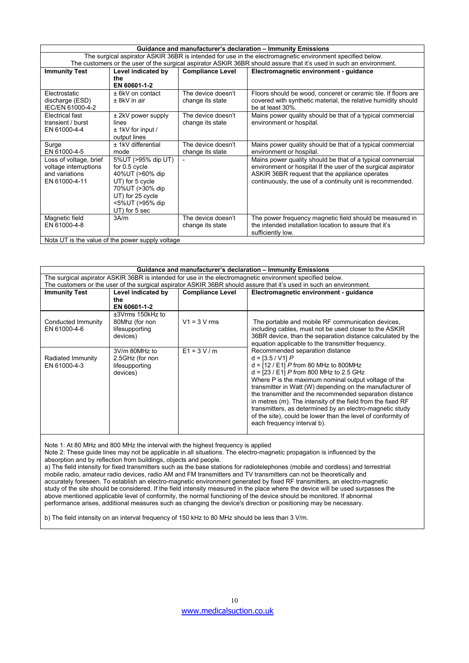|                                                                                                                                                                                                                                                                                                                                               |                                                                                                                                                       |                                        | Guidance and manufacturer's declaration - Immunity Emissions                                                                                                                                                                                |
|-----------------------------------------------------------------------------------------------------------------------------------------------------------------------------------------------------------------------------------------------------------------------------------------------------------------------------------------------|-------------------------------------------------------------------------------------------------------------------------------------------------------|----------------------------------------|---------------------------------------------------------------------------------------------------------------------------------------------------------------------------------------------------------------------------------------------|
| The surgical aspirator ASKIR 36BR is intended for use in the electromagnetic environment specified below.                                                                                                                                                                                                                                     |                                                                                                                                                       |                                        |                                                                                                                                                                                                                                             |
|                                                                                                                                                                                                                                                                                                                                               |                                                                                                                                                       |                                        | The customers or the user of the surgical aspirator ASKIR 36BR should assure that it's used in such an environment.                                                                                                                         |
| <b>Immunity Test</b>                                                                                                                                                                                                                                                                                                                          | Level indicated by<br>the<br>EN 60601-1-2                                                                                                             | <b>Compliance Level</b>                | Electromagnetic environment - guidance                                                                                                                                                                                                      |
| Electrostatic<br>discharge (ESD)<br>IEC/EN 61000-4-2                                                                                                                                                                                                                                                                                          | $± 6kV$ on contact<br>$± 8kV$ in air                                                                                                                  | The device doesn't<br>change its state | Floors should be wood, conceret or ceramic tile. If floors are<br>covered with synthetic material, the relative humidity should<br>be at least 30%.                                                                                         |
| Electrical fast<br>transient / burst<br>EN 61000-4-4                                                                                                                                                                                                                                                                                          | $±$ 2kV power supply<br>lines<br>$±$ 1kV for input /<br>output lines                                                                                  | The device doesn't<br>change its state | Mains power quality should be that of a typical commercial<br>environment or hospital.                                                                                                                                                      |
| Surge<br>EN 61000-4-5                                                                                                                                                                                                                                                                                                                         | ± 1kV differential<br>mode                                                                                                                            | The device doesn't<br>change its state | Mains power quality should be that of a typical commercial<br>environment or hospital.                                                                                                                                                      |
| Loss of voltage, brief<br>voltage interruptions<br>and variations<br>EN 61000-4-11                                                                                                                                                                                                                                                            | 5% UT (>95% dip UT)<br>for 0.5 cycle<br>40%UT (>60% dip<br>UT) for 5 cycle<br>70%UT (>30% dip<br>UT) for 25 cycle<br><5%UT (>95% dip<br>UT) for 5 sec |                                        | Mains power quality should be that of a typical commercial<br>environment or hospital If the user of the surgical aspirator<br>ASKIR 36BR request that the appliance operates<br>continuously, the use of a continuity unit is recommended. |
| Magnetic field<br>EN 61000-4-8<br>$\mathbf{r}$ , $\mathbf{r}$ , $\mathbf{r}$ , $\mathbf{r}$ , $\mathbf{r}$ , $\mathbf{r}$ , $\mathbf{r}$ , $\mathbf{r}$ , $\mathbf{r}$ , $\mathbf{r}$ , $\mathbf{r}$ , $\mathbf{r}$ , $\mathbf{r}$ , $\mathbf{r}$ , $\mathbf{r}$ , $\mathbf{r}$ , $\mathbf{r}$ , $\mathbf{r}$ , $\mathbf{r}$ , $\mathbf{r}$ , | 3A/m<br>$\sim$ $\sim$ $\sim$ $\sim$                                                                                                                   | The device doesn't<br>change its state | The power frequency magnetic field should be measured in<br>the intended installation location to assure that it's<br>sufficiently low.                                                                                                     |

Nota UT is the value of the power supply voltage

| Guidance and manufacturer's declaration - Immunity Emissions |                                                                  |                         |                                                                                                                                                                                                                                                                                                                                                                                                                                                                                                                                                        |
|--------------------------------------------------------------|------------------------------------------------------------------|-------------------------|--------------------------------------------------------------------------------------------------------------------------------------------------------------------------------------------------------------------------------------------------------------------------------------------------------------------------------------------------------------------------------------------------------------------------------------------------------------------------------------------------------------------------------------------------------|
|                                                              |                                                                  |                         | The surgical aspirator ASKIR 36BR is intended for use in the electromagnetic environment specified below.                                                                                                                                                                                                                                                                                                                                                                                                                                              |
|                                                              |                                                                  |                         | The customers or the user of the surgical aspirator ASKIR 36BR should assure that it's used in such an environment.                                                                                                                                                                                                                                                                                                                                                                                                                                    |
| <b>Immunity Test</b>                                         | Level indicated by                                               | <b>Compliance Level</b> | Electromagnetic environment - guidance                                                                                                                                                                                                                                                                                                                                                                                                                                                                                                                 |
|                                                              | the<br>EN 60601-1-2                                              |                         |                                                                                                                                                                                                                                                                                                                                                                                                                                                                                                                                                        |
| Conducted Immunity<br>EN 61000-4-6                           | ±3Vrms 150kHz to<br>80Mhz (for non<br>lifesupporting<br>devices) | $V1 = 3 V$ rms          | The portable and mobile RF communication devices,<br>including cables, must not be used closer to the ASKIR<br>36BR device, than the separation distance calculated by the<br>equation applicable to the transmitter frequency.                                                                                                                                                                                                                                                                                                                        |
| Radiated Immunity<br>EN 61000-4-3                            | 3V/m 80MHz to<br>2.5GHz (for non<br>lifesupporting<br>devices)   | $E1 = 3 V/m$            | Recommended separation distance<br>$d = [3.5 / V1] P$<br>$d = [12 / E1] P$ from 80 MHz to 800MHz<br>$d = [23 / E1]$ P from 800 MHz to 2.5 GHz<br>Where P is the maximum nominal output voltage of the<br>transmitter in Watt (W) depending on the manufacturer of<br>the transmitter and the recommended separation distance<br>in metres (m). The intensity of the field from the fixed RF<br>transmitters, as determined by an electro-magnetic study<br>of the site), could be lower than the level of conformity of<br>each frequency interval b). |

Note 1: At 80 MHz and 800 MHz the interval with the highest frequency is applied

Note 2: These guide lines may not be applicable in all situations. The electro-magnetic propagation isinfluenced by the absorption and by reflection from buildings, objects and people.

a) The field intensity for fixed transmitters such as the base stations for radiotelephones (mobile and cordless) and terrestrial mobile radio, amateur radio devices, radio AM and FM transmitters and TV transmitters can not be theoretically and accurately foreseen. To establish an electro-magnetic environment generated by fixed RF transmitters, an electro-magnetic study of the site should be considered. If the field intensity measured in the place where the device will be used surpasses the above mentioned applicable level of conformity, the normal functioning of the device should be monitored. If abnormal performance arises, additional measures such as changing the device's direction or positioning may be necessary.

b) The field intensity on an interval frequency of 150 kHz to 80 MHz should be less than 3 V/m.